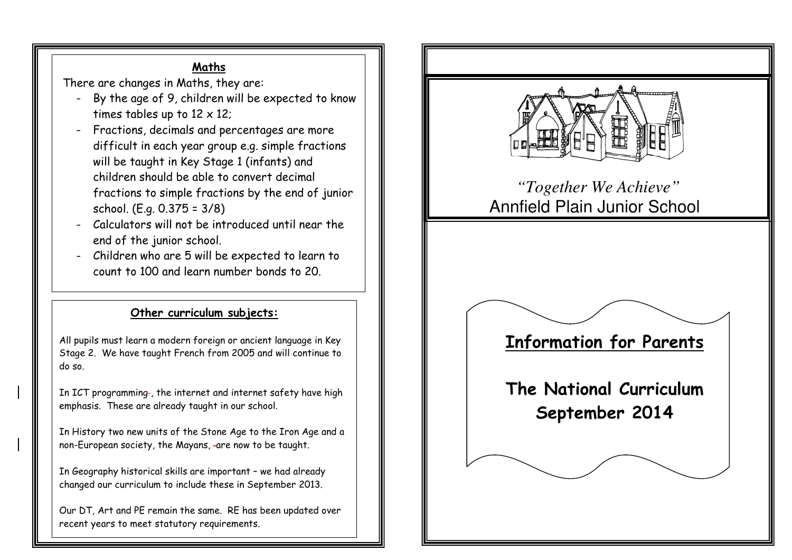## Maths

There are changes in Maths, they are:<br>- Ry the gas of 9 children will be a

- By the age of 9, children will be expected to know times tables up to  $12 \times 12$ ;
- Fractions, decimals and percentages are more difficult in each year group e.g. simple fractions will be taught in Key Stage 1 (infants) and children should be able to convert decimal fractions to simple fractions by the end of junior school. (E.g. 0.375 = 3/8) -
- Calculators will not be introduced until near the end of the junior school.
- Children who are 5 will be expected to learn to count to 100 and learn number bonds to 20.

## Other curriculum subjects:

All pupils must learn a modern foreign or ancient language in Key Stage 2. We have taught French from 2005 and will continue to do so.

In ICT programming-, the internet and internet safety have high emphasis. These are already taught in our school.

In History two new units of the Stone Age to the Iron Age and a non-European society, the Mayans, -are now to be taught.

In Geography historical skills are important – we had already changed our curriculum to include these in September 2013.

Our DT, Art and PE remain the same. RE has been updated over recent years to meet statutory requirements.



# *"Together We Achieve"* Annfield Plain Junior School

#### <u>Information for Parents</u> Information for Parents

The National Curriculum September 2014